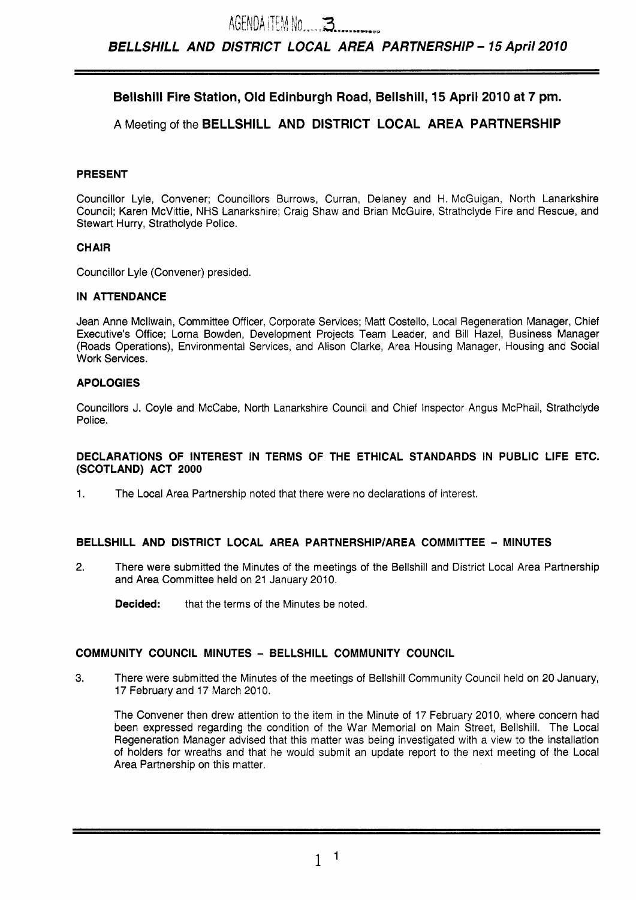# **Bellshill Fire Station, Old Edinburgh Road, Bellshill, 15 April 2010 at 7 pm.**

# **A** Meeting of the **BELLSHILL AND DISTRICT LOCAL AREA PARTNERSHIP**

## **PRESENT**

Councillor Lyle, Convener; Councillors Burrows, Curran, Delaney and H. McGuigan, North Lanarkshire Council; Karen McVittie, NHS Lanarkshire; Craig Shaw and Brian McGuire, Strathclyde Fire and Rescue, and Stewart Hurry, Strathclyde Police.

## **CHAIR**

Councillor Lyle (Convener) presided.

## **IN ATTENDANCE**

Jean Anne Mcllwain, Committee Officer, Corporate Services; Matt Costello, Local Regeneration Manager, Chief Executive's Office; Lorna Bowden, Development Projects Team Leader, and Bill Hazel, Business Manager (Roads Operations), Environmental Services, and Alison Clarke, Area Housing Manager, Housing and Social Work Services.

## **APOLOGIES**

Councillors J. Coyle and McCabe, North Lanarkshire Council and Chief Inspector Angus McPhail, Strathclyde Police.

#### **DECLARATIONS OF INTEREST IN TERMS OF THE ETHICAL STANDARDS IN PUBLIC LIFE ETC. (SCOTLAND) ACT 2000**

1. The Local Area Partnership noted that there were no declarations of interest.

## **BELLSHILL AND DISTRICT LOCAL AREA PARTNERSHIP/AREA COMMITTEE** - **MINUTES**

**2.** There were submitted the Minutes of the meetings of the Bellshill and District Local Area Partnership and Area Committee held on 21 January 2010.

**Decided:** that the terms of the Minutes be noted.

## **COMMUNITY COUNCIL MINUTES** - **BELLSHILL COMMUNITY COUNCIL**

**3.** There were submitted the Minutes of the meetings of Bellshill Community Council held on 20 January, 17 February and 17 March 2010.

The Convener then drew attention to the item in the Minute of 17 February 2010, where concern had been expressed regarding the condition of the War Memorial on Main Street, Bellshill. The Local Regeneration Manager advised that this matter was being investigated with a view to the installation of holders for wreaths and that he would submit an update report to the next meeting of the Local Area Partnership on this matter.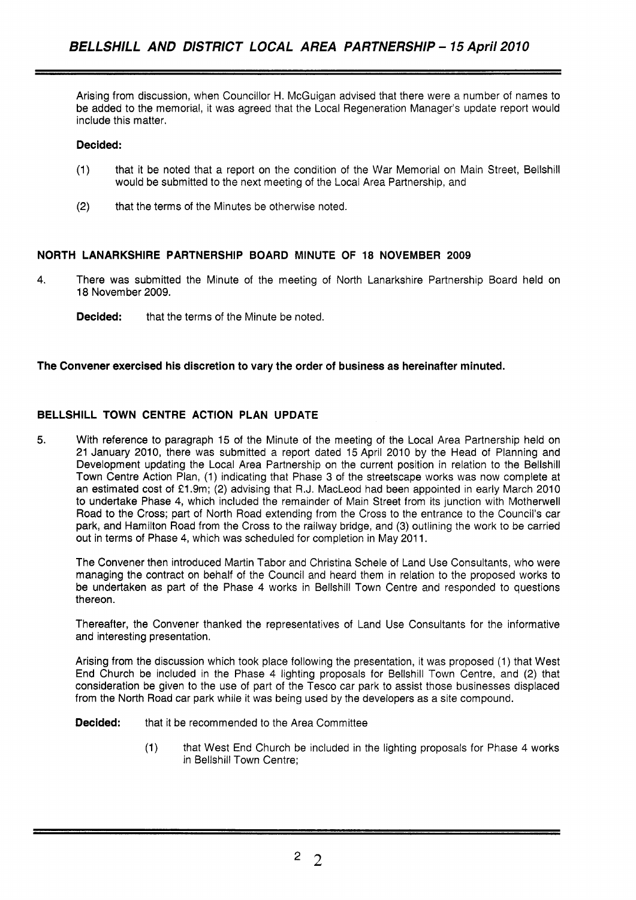Arising from discussion, when Councillor H. McGuigan advised that there were a number of names to be added to the memorial, it was agreed that the Local Regeneration Manager's update report would include this matter.

### **Decided:**

- (1) that it be noted that a report on the condition of the War Memorial on Main Street, Bellshill would be submitted to the next meeting of the Local Area Partnership, and
- (2) that the terms of the Minutes be otherwise noted.

## **NORTH LANARKSHIRE PARTNERSHIP BOARD MINUTE OF** 18 **NOVEMBER 2009**

- **4.** There was submitted the Minute of the meeting of North Lanarkshire Partnership Board held on 18 November 2009.
	- **Decided:** that the terms of the Minute be noted.

#### **The Convener exercised his discretion to vary the order of business as hereinafter minuted.**

## **BELLSHILL TOWN CENTRE ACTION PLAN UPDATE**

**5.** With reference to paragraph 15 of the Minute of the meeting of the Local Area Partnership held on 21 January 2010, there was submitted a report dated 15 April 2010 by the Head of Planning and Development updating the Local Area Partnership on the current position in relation to the Bellshill Town Centre Action Plan, (1) indicating that Phase 3 of the streetscape works was now complete at an estimated cost of £1.9m; (2) advising that R.J. MacLeod had been appointed in early March 2010 to undertake Phase 4, which included the remainder of Main Street from its junction with Motherwell Road to the Cross; part of North Road extending from the Cross to the entrance to the Council's car park, and Hamilton Road from the Cross to the railway bridge, and (3) outlining the work to be carried out in terms of Phase 4, which was scheduled for completion in May 2011.

The Convener then introduced Martin Tabor and Christina Schele of Land Use Consultants, who were managing the contract on behalf of the Council and heard them in relation to the proposed works to be undertaken as part of the Phase 4 works in Bellshill Town Centre and responded to questions thereon.

Thereafter, the Convener thanked the representatives of Land Use Consultants for the informative and interesting presentation.

Arising from the discussion which took place following the presentation, it was proposed (1) that West End Church be included in the Phase 4 lighting proposals for Bellshill Town Centre, and (2) that consideration be given to the use of part of the Tesco car park to assist those businesses displaced from the North Road car park while it was being used by the developers as a site compound.

**Decided:** that it be recommended to the Area Committee

(1) that West End Church be included in the lighting proposals for Phase 4 works in Bellshill Town Centre;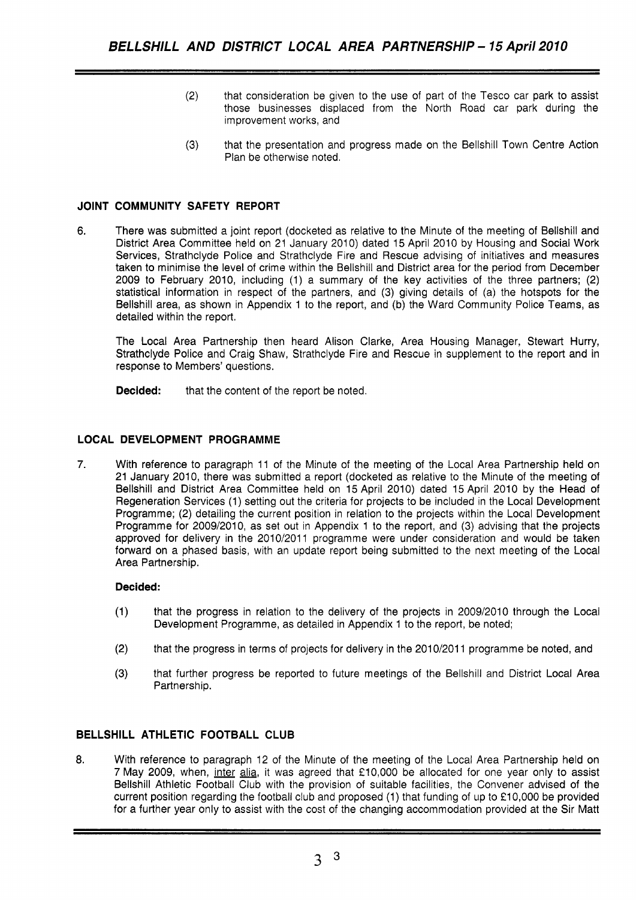- (2) that consideration be given to the use of part of the Tesco car park to assist those businesses displaced from the North Road car park during the improvement works, and
- **(3)** that the presentation and progress made on the Bellshill Town Centre Action Plan be otherwise noted.

## **JOINT COMMUNITY SAFETY REPORT**

**6.**  There was submitted a joint report (docketed as relative to the Minute of the meeting of Bellshill and District Area Committee held on 21 January 2010) dated 15 April 2010 by Housing and Social Work Services, Strathclyde Police and Strathclyde Fire and Rescue advising of initiatives and measures taken to minimise the level of crime within the Bellshill and District area for the period from December 2009 to February 2010, including (1) a summary of the key activities of the three partners; (2) statistical information in respect of the partners, and (3) giving details of (a) the hotspots for the Bellshill area, as shown in Appendix 1 to the report, and (b) the Ward Community Police Teams, as detailed within the report.

The Local Area Partnership then heard Alison Clarke, Area Housing Manager, Stewart Hurry, Strathclyde Police and Craig Shaw, Strathclyde Fire and Rescue in supplement to the report and in response to Members' questions.

**Decided:** that the content of the report be noted.

#### **LOCAL DEVELOPMENT PROGRAMME**

**7.** With reference to paragraph 11 of the Minute of the meeting of the Local Area Partnership held on 21 January 2010, there was submitted a report (docketed as relative to the Minute of the meeting of Bellshill and District Area Committee held on 15 April 2010) dated 15 April 2010 by the Head of Regeneration Services (1) setting out the criteria for projects to be included in the Local Development Programme; (2) detailing the current position in relation to the projects within the Local Development Programme for 2009/2010, as set out in Appendix 1 to the report, and (3) advising that the projects approved for delivery in the 2010/2011 programme were under consideration and would be taken forward on a phased basis, with an update report being submitted to the next meeting of the Local Area Partnership.

#### **Decided:**

- (1) that the progress in relation to the delivery of the projects in 2009/2010 through the Local Development Programme, as detailed in Appendix 1 to the report, be noted;
- (2) that the progress in terms of projects for delivery in the 2010/2011 programme be noted, and
- **(3)** that further progress be reported to future meetings of the Bellshill and District Local Area Partnership.

## **BELLSHILL ATHLETIC FOOTBALL CLUB**

8. With reference to paragraph 12 of the Minute of the meeting of the Local Area Partnership held on 7 May 2009, when, inter alia, it was agreed that £10,000 be allocated for one year only to assist Bellshill Athletic Football Club with the provision of suitable facilities, the Convener advised of the current position regarding the football club and proposed (1) that funding of up to €10,000 be provided for a further year only to assist with the cost of the changing accommodation provided at the Sir Matt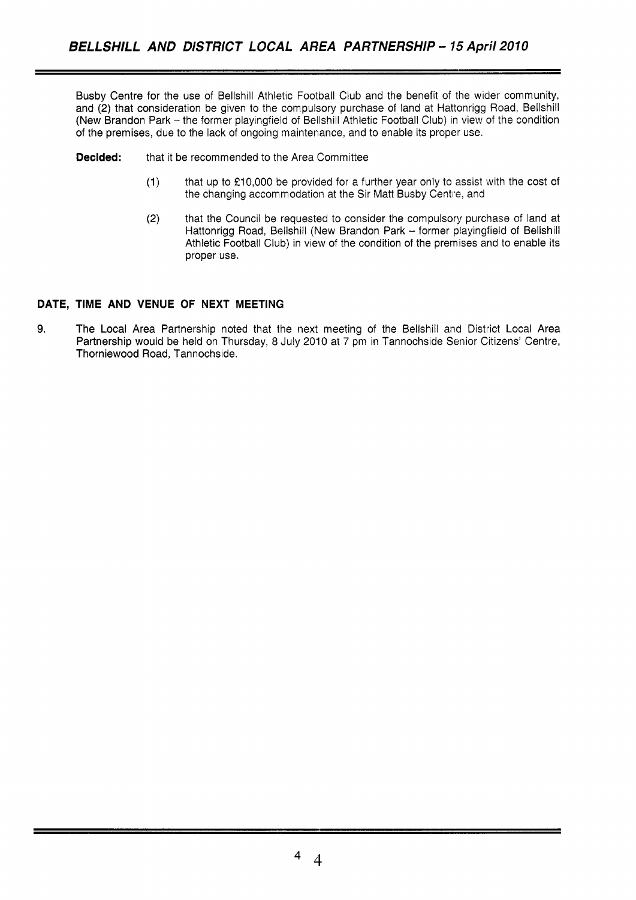Busby Centre for the use of Bellshill Athletic Football Club and the benefit of the wider community, and **(2)** that consideration be given to the compulsory purchase of land at Hattonrigg Road, Bellshill (New Brandon Park - the former playingfield of Bellshill Athletic Football Club) in view of the condition of the premises, due to the lack of ongoing maintenance, and to enable its proper use.

**Decided:** that it be recommended to the Area Committee

- (1) that up to **f10,000** be provided for a further year only to assist with the cost of the changing accommodation at the Sir Matt Busby Centre, and
- **(2)** that the Council be requested to consider the compulsory purchase of land at Hattonrigg Road, Bellshill (New Brandon Park - former playingfield of Bellshill Athletic Football Club) in view of the condition of the premises and to enable its proper use.

## **DATE, TIME AND VENUE OF NEXT MEETING**

**9.** The Local Area Partnership noted that the next meeting of the Bellshill and District Local Area Partnership would **be** held on Thursday, 8 July 2010 at 7 pm in Tannochside Senior Citizens' Centre, Thorniewood Road, Tannochside.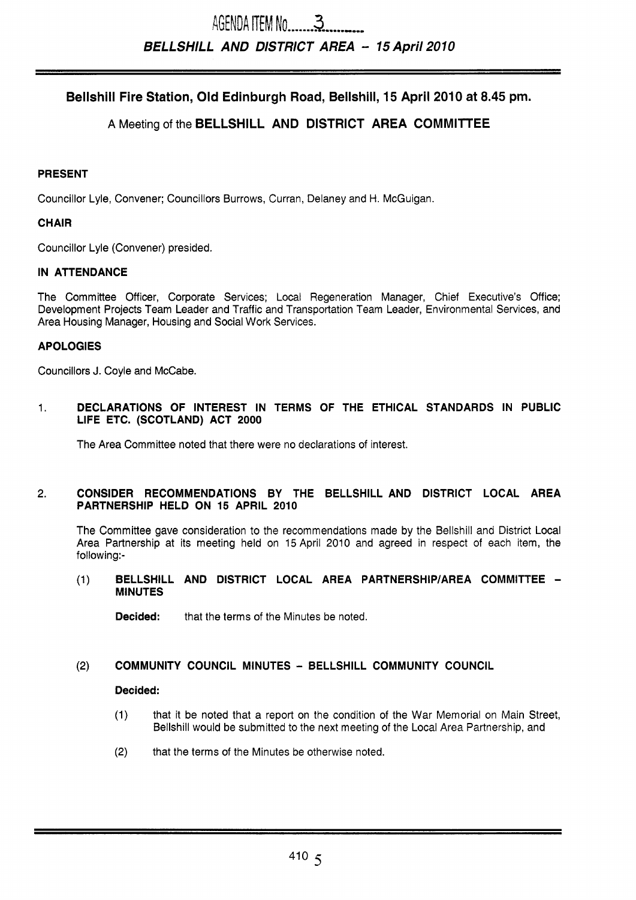# **Bellshill Fire Station, Old Edinburgh Road, Bellshill, 15 April 2010 at 8.45 pm.**

# **A** Meeting of the **BELLSHILL AND DISTRICT AREA COMMllTEE**

## **PRESENT**

Councillor Lyle, Convener; Councillors Burrows, Curran, Delaney and H. McGuigan.

## **CHAIR**

Councillor Lyle (Convener) presided.

## **IN ATTENDANCE**

The Committee Officer, Corporate Services; Local Regeneration Manager, Chief Executive's Office; Development Projects Team Leader and Traffic and Transportation Team Leader, Environmental Services, and Area Housing Manager, Housing and Social Work Services.

## **APOLOGIES**

Councillors J. Coyle and McCabe.

1. **DECLARATIONS OF INTEREST IN TERMS OF THE ETHICAL STANDARDS IN PUBLIC LIFE ETC. (SCOTLAND) ACT 2000** 

The Area Committee noted that there were no declarations of interest.

#### **2. CONSIDER RECOMMENDATIONS BY THE BELLSHILL AND DISTRICT LOCAL AREA PARTNERSHIP HELD ON 15 APRIL 2010**

The Committee gave consideration to the recommendations made by the Bellshill and District Local Area Partnership at its meeting held on 15 April 2010 and agreed in respect of each item, the following:-

#### (1) **BELLSHILL AND DISTRICT LOCAL AREA PARTNERSHIP/AREA COMMITTEE** - **MINUTES**

**Decided:** that the terms of the Minutes be noted.

## **(2) COMMUNITY COUNCIL MINUTES** - **BELLSHILL COMMUNITY COUNCIL**

#### **Decided:**

- (1) that it be noted that a report on the condition of the War Memorial on Main Street, Bellshill would be submitted to the next meeting of the Local Area Partnership, and
- **(2)** that the terms of the Minutes be otherwise noted.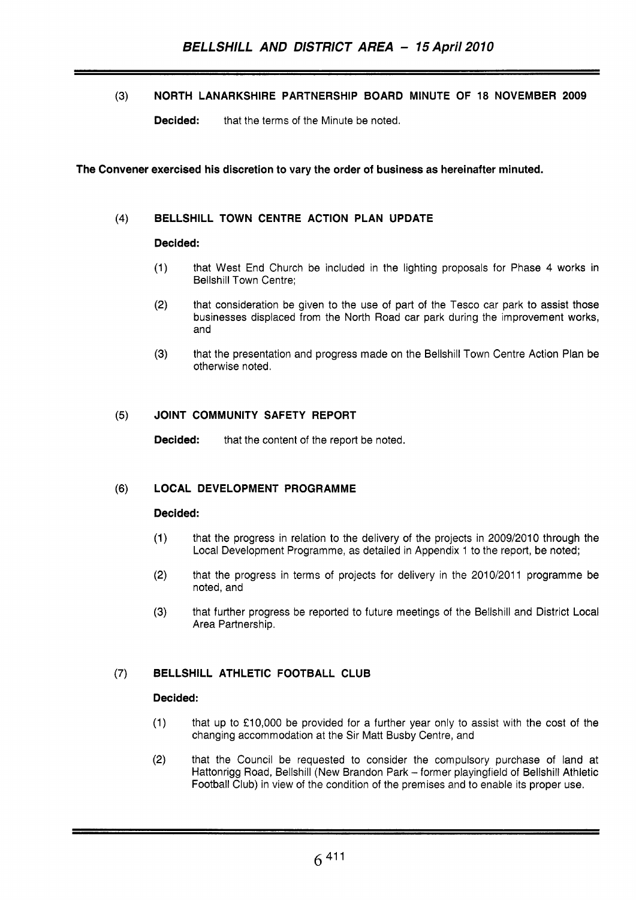**(3) NORTH LANARKSHIRE PARTNERSHIP BOARD MINUTE OF 18 NOVEMBER 2009** 

**Decided:** that the terms of the Minute be noted.

### **The Convener exercised his discretion to vary the order of business as hereinafter minuted.**

## **(4) BELLSHILL TOWN CENTRE ACTION PLAN UPDATE**

#### **Decided:**

- **(1)** that West End Church be included in the lighting proposals for Phase **4** works in Bellshill Town Centre;
- **(2)** that consideration be given to the use of part of the Tesco car park to assist those businesses displaced from the North Road car park during the improvement works, and
- **(3)** that the presentation and progress made on the Bellshill Town Centre Action Plan be otherwise noted.

## **(5) JOINT COMMUNITY SAFETY REPORT**

**Decided:** that the content of the report be noted.

#### **(6) LOCAL DEVELOPMENT PROGRAMME**

#### **Decided:**

- (1) that the progress in relation to the delivery of the projects in **2009/2010** through the Local Development Programme, as detailed in Appendix **1** to the report, be noted;
- **(2)** that the progress in terms of projects for delivery in the **2010/2011** programme be noted, and
- **(3)** that further progress be reported to future meetings of the Bellshill and District Local Area Partnership.

# **(7) BELLSHILL ATHLETIC FOOTBALL CLUB**

#### **Decided:**

- (1) that up to **f10,000** be provided for a further year only *to* assist with the cost of the changing accommodation at the Sir Matt Busby Centre, and
- **(2)** that the Council be requested to consider the compulsory purchase of land at Hattonrigg Road, Bellshill (New Brandon Park - former playingfield of Bellshill Athletic Football Club) in view *of* the condition of the premises and to enable its proper use.